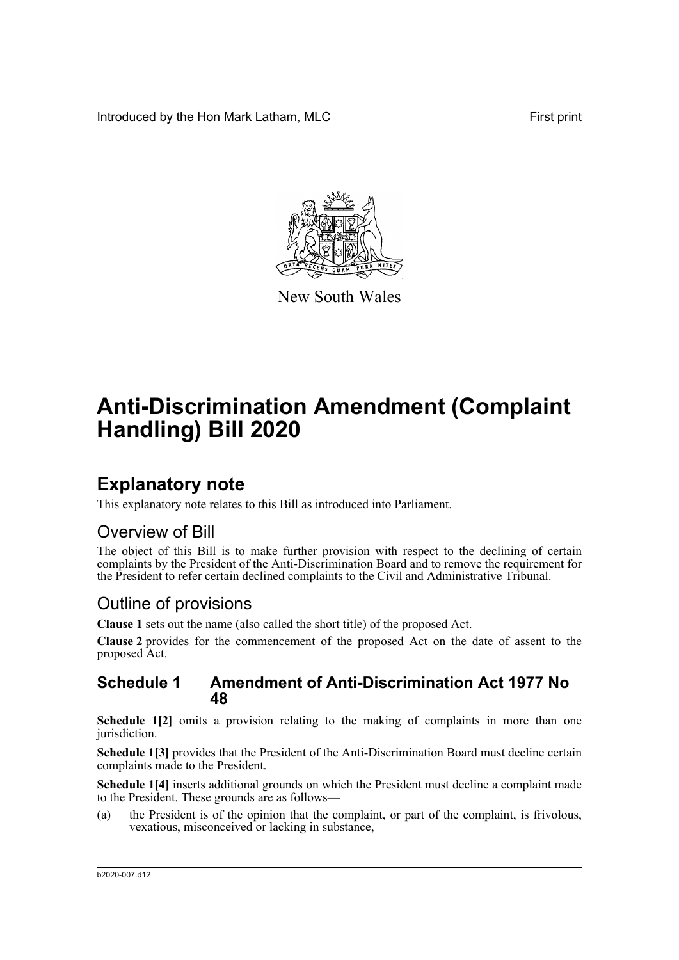Introduced by the Hon Mark Latham, MLC **First print** 



New South Wales

# **Anti-Discrimination Amendment (Complaint Handling) Bill 2020**

## **Explanatory note**

This explanatory note relates to this Bill as introduced into Parliament.

### Overview of Bill

The object of this Bill is to make further provision with respect to the declining of certain complaints by the President of the Anti-Discrimination Board and to remove the requirement for the President to refer certain declined complaints to the Civil and Administrative Tribunal.

### Outline of provisions

**Clause 1** sets out the name (also called the short title) of the proposed Act.

**Clause 2** provides for the commencement of the proposed Act on the date of assent to the proposed Act.

### **Schedule 1 Amendment of Anti-Discrimination Act 1977 No 48**

**Schedule 1[2]** omits a provision relating to the making of complaints in more than one jurisdiction.

**Schedule 1[3]** provides that the President of the Anti-Discrimination Board must decline certain complaints made to the President.

**Schedule 1[4]** inserts additional grounds on which the President must decline a complaint made to the President. These grounds are as follows—

(a) the President is of the opinion that the complaint, or part of the complaint, is frivolous, vexatious, misconceived or lacking in substance,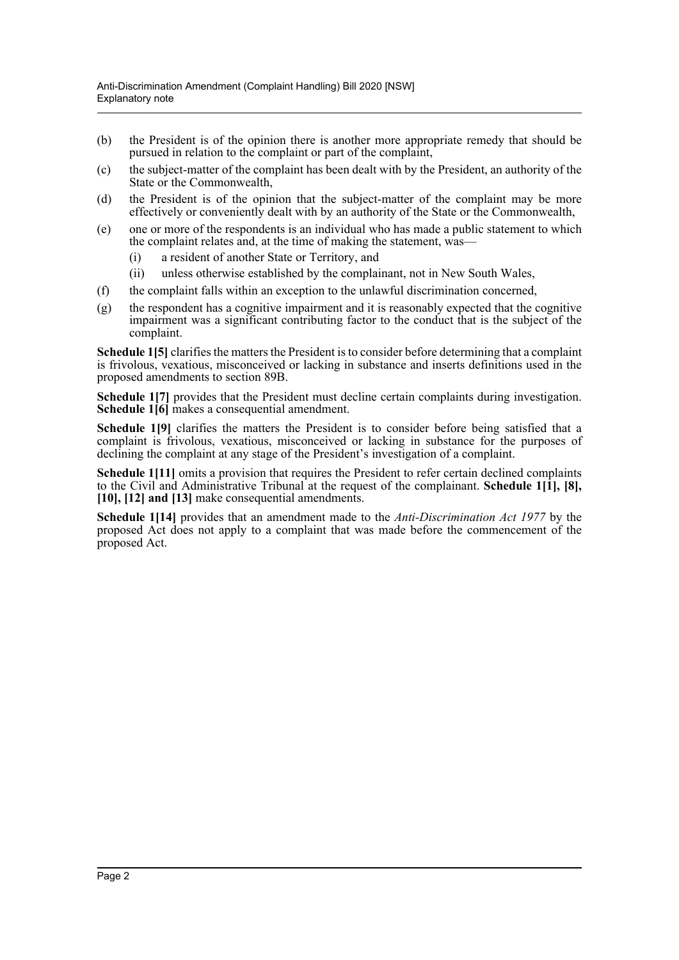- (b) the President is of the opinion there is another more appropriate remedy that should be pursued in relation to the complaint or part of the complaint,
- (c) the subject-matter of the complaint has been dealt with by the President, an authority of the State or the Commonwealth,
- (d) the President is of the opinion that the subject-matter of the complaint may be more effectively or conveniently dealt with by an authority of the State or the Commonwealth,
- (e) one or more of the respondents is an individual who has made a public statement to which the complaint relates and, at the time of making the statement, was—
	- (i) a resident of another State or Territory, and
	- (ii) unless otherwise established by the complainant, not in New South Wales,
- (f) the complaint falls within an exception to the unlawful discrimination concerned,
- (g) the respondent has a cognitive impairment and it is reasonably expected that the cognitive impairment was a significant contributing factor to the conduct that is the subject of the complaint.

**Schedule 1[5]** clarifies the matters the President is to consider before determining that a complaint is frivolous, vexatious, misconceived or lacking in substance and inserts definitions used in the proposed amendments to section 89B.

**Schedule 1[7]** provides that the President must decline certain complaints during investigation. **Schedule 1[6]** makes a consequential amendment.

**Schedule 1[9]** clarifies the matters the President is to consider before being satisfied that a complaint is frivolous, vexatious, misconceived or lacking in substance for the purposes of declining the complaint at any stage of the President's investigation of a complaint.

**Schedule 1[11]** omits a provision that requires the President to refer certain declined complaints to the Civil and Administrative Tribunal at the request of the complainant. **Schedule 1[1], [8], [10], [12] and [13]** make consequential amendments.

**Schedule 1[14]** provides that an amendment made to the *Anti-Discrimination Act 1977* by the proposed Act does not apply to a complaint that was made before the commencement of the proposed Act.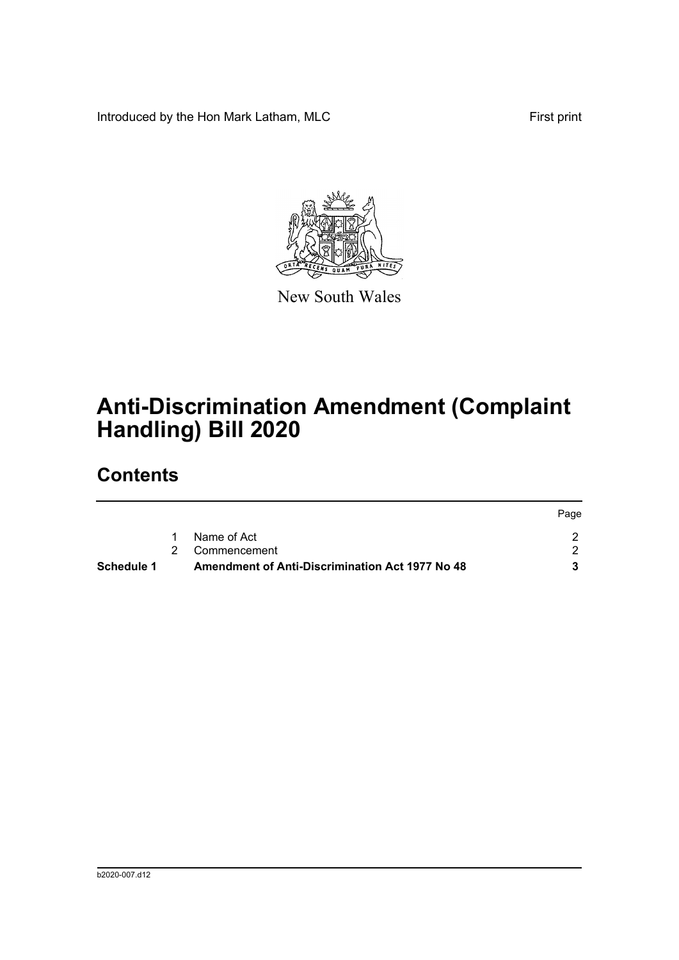Introduced by the Hon Mark Latham, MLC First print



New South Wales

# **Anti-Discrimination Amendment (Complaint Handling) Bill 2020**

## **Contents**

| Schedule 1 | <b>Amendment of Anti-Discrimination Act 1977 No 48</b> |      |
|------------|--------------------------------------------------------|------|
|            | 2 Commencement                                         |      |
|            | Name of Act                                            |      |
|            |                                                        | Page |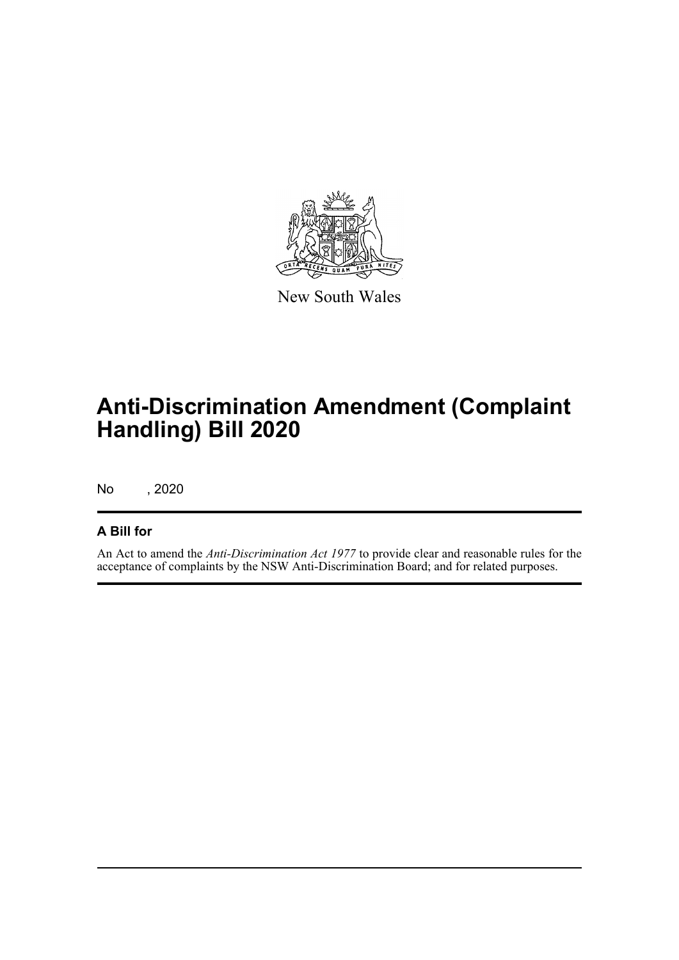

New South Wales

## **Anti-Discrimination Amendment (Complaint Handling) Bill 2020**

No , 2020

### **A Bill for**

An Act to amend the *Anti-Discrimination Act 1977* to provide clear and reasonable rules for the acceptance of complaints by the NSW Anti-Discrimination Board; and for related purposes.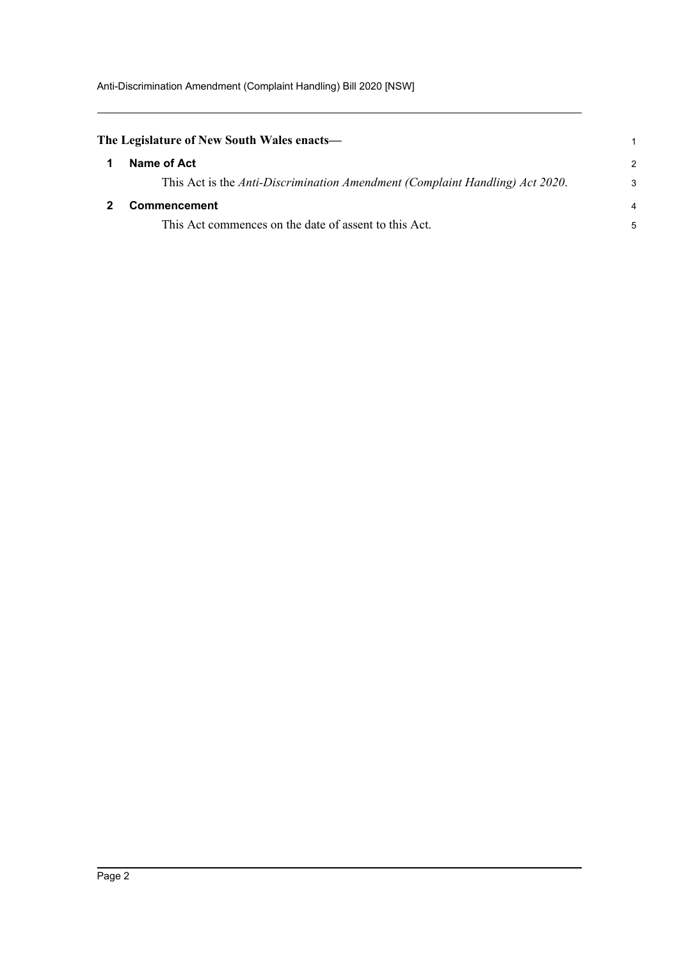<span id="page-4-1"></span><span id="page-4-0"></span>

| The Legislature of New South Wales enacts—                                   |               |  |
|------------------------------------------------------------------------------|---------------|--|
| Name of Act                                                                  | $\mathcal{P}$ |  |
| This Act is the Anti-Discrimination Amendment (Complaint Handling) Act 2020. | 3             |  |
| Commencement                                                                 |               |  |
| This Act commences on the date of assent to this Act.                        | 5             |  |
|                                                                              |               |  |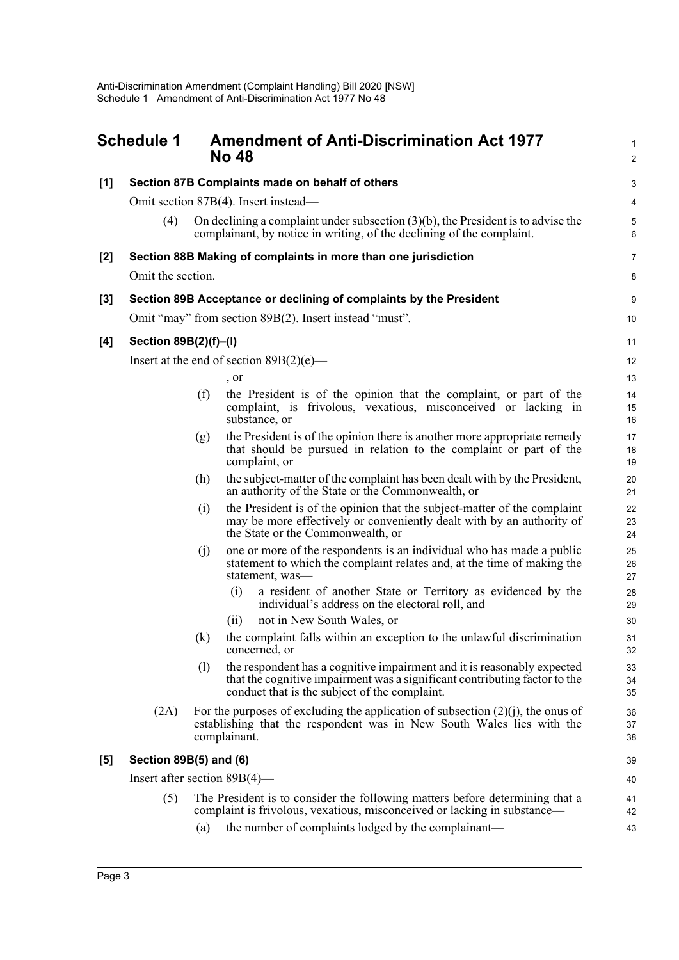<span id="page-5-0"></span>

| <b>Schedule 1</b> |                                                                                                                                                                 | <b>Amendment of Anti-Discrimination Act 1977</b><br><b>No 48</b>                                                                                                            |                                                                                                                                                                                                        |                     |  |  |  |  |  |
|-------------------|-----------------------------------------------------------------------------------------------------------------------------------------------------------------|-----------------------------------------------------------------------------------------------------------------------------------------------------------------------------|--------------------------------------------------------------------------------------------------------------------------------------------------------------------------------------------------------|---------------------|--|--|--|--|--|
| [1]               | Section 87B Complaints made on behalf of others                                                                                                                 |                                                                                                                                                                             |                                                                                                                                                                                                        |                     |  |  |  |  |  |
|                   | Omit section 87B(4). Insert instead—                                                                                                                            |                                                                                                                                                                             |                                                                                                                                                                                                        |                     |  |  |  |  |  |
|                   | (4)                                                                                                                                                             |                                                                                                                                                                             | On declining a complaint under subsection $(3)(b)$ , the President is to advise the<br>complainant, by notice in writing, of the declining of the complaint.                                           | $\overline{5}$<br>6 |  |  |  |  |  |
| [2]               |                                                                                                                                                                 |                                                                                                                                                                             | Section 88B Making of complaints in more than one jurisdiction                                                                                                                                         | 7                   |  |  |  |  |  |
|                   |                                                                                                                                                                 | Omit the section.                                                                                                                                                           |                                                                                                                                                                                                        |                     |  |  |  |  |  |
| $[3]$             |                                                                                                                                                                 |                                                                                                                                                                             | Section 89B Acceptance or declining of complaints by the President                                                                                                                                     | 9                   |  |  |  |  |  |
|                   | Omit "may" from section 89B(2). Insert instead "must".                                                                                                          |                                                                                                                                                                             |                                                                                                                                                                                                        |                     |  |  |  |  |  |
| [4]               | Section 89B(2)(f)-(I)                                                                                                                                           |                                                                                                                                                                             |                                                                                                                                                                                                        | 11                  |  |  |  |  |  |
|                   |                                                                                                                                                                 |                                                                                                                                                                             | Insert at the end of section $89B(2)(e)$ —                                                                                                                                                             | 12                  |  |  |  |  |  |
|                   |                                                                                                                                                                 |                                                                                                                                                                             | , or                                                                                                                                                                                                   | 13                  |  |  |  |  |  |
|                   |                                                                                                                                                                 | (f)                                                                                                                                                                         | the President is of the opinion that the complaint, or part of the<br>complaint, is frivolous, vexatious, misconceived or lacking in<br>substance, or                                                  | 14<br>15<br>16      |  |  |  |  |  |
|                   |                                                                                                                                                                 | (g)                                                                                                                                                                         | the President is of the opinion there is another more appropriate remedy<br>that should be pursued in relation to the complaint or part of the<br>complaint, or                                        | 17<br>18<br>19      |  |  |  |  |  |
|                   |                                                                                                                                                                 | (h)                                                                                                                                                                         | the subject-matter of the complaint has been dealt with by the President,<br>an authority of the State or the Commonwealth, or                                                                         | 20<br>21            |  |  |  |  |  |
|                   |                                                                                                                                                                 | (i)                                                                                                                                                                         | the President is of the opinion that the subject-matter of the complaint<br>may be more effectively or conveniently dealt with by an authority of<br>the State or the Commonwealth, or                 | 22<br>23<br>24      |  |  |  |  |  |
|                   |                                                                                                                                                                 | (j)                                                                                                                                                                         | one or more of the respondents is an individual who has made a public<br>statement to which the complaint relates and, at the time of making the<br>statement, was-                                    | 25<br>26<br>27      |  |  |  |  |  |
|                   |                                                                                                                                                                 |                                                                                                                                                                             | a resident of another State or Territory as evidenced by the<br>(i)<br>individual's address on the electoral roll, and                                                                                 | 28<br>29            |  |  |  |  |  |
|                   |                                                                                                                                                                 |                                                                                                                                                                             | not in New South Wales, or<br>(i)                                                                                                                                                                      | 30                  |  |  |  |  |  |
|                   |                                                                                                                                                                 | (k)                                                                                                                                                                         | the complaint falls within an exception to the unlawful discrimination<br>concerned, or                                                                                                                | 31<br>32            |  |  |  |  |  |
|                   |                                                                                                                                                                 | (1)                                                                                                                                                                         | the respondent has a cognitive impairment and it is reasonably expected<br>that the cognitive impairment was a significant contributing factor to the<br>conduct that is the subject of the complaint. | 33<br>34<br>35      |  |  |  |  |  |
|                   | (2A)                                                                                                                                                            | For the purposes of excluding the application of subsection $(2)(j)$ , the onus of<br>establishing that the respondent was in New South Wales lies with the<br>complainant. |                                                                                                                                                                                                        |                     |  |  |  |  |  |
| [5]               | Section 89B(5) and (6)                                                                                                                                          |                                                                                                                                                                             |                                                                                                                                                                                                        |                     |  |  |  |  |  |
|                   | Insert after section $89B(4)$ —                                                                                                                                 |                                                                                                                                                                             |                                                                                                                                                                                                        |                     |  |  |  |  |  |
|                   | (5)<br>The President is to consider the following matters before determining that a<br>complaint is frivolous, vexatious, misconceived or lacking in substance— |                                                                                                                                                                             |                                                                                                                                                                                                        |                     |  |  |  |  |  |
|                   |                                                                                                                                                                 | (a)                                                                                                                                                                         | the number of complaints lodged by the complainant—                                                                                                                                                    | 43                  |  |  |  |  |  |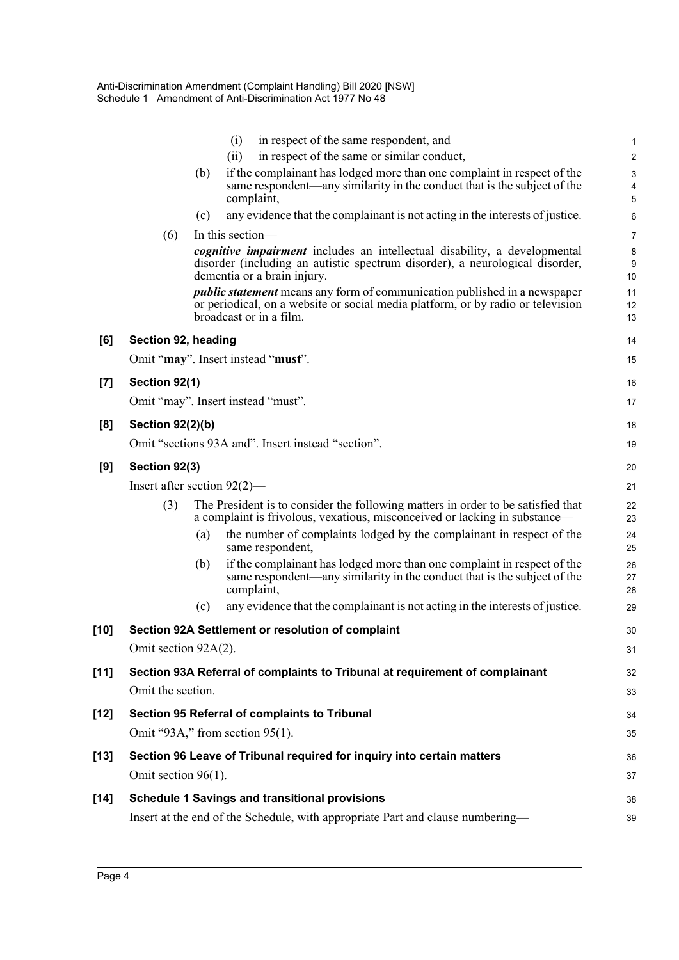|        |                                                                        |                                                                                                                                                                | (i)        | in respect of the same respondent, and                                                                                                              | 1                              |  |  |
|--------|------------------------------------------------------------------------|----------------------------------------------------------------------------------------------------------------------------------------------------------------|------------|-----------------------------------------------------------------------------------------------------------------------------------------------------|--------------------------------|--|--|
|        |                                                                        |                                                                                                                                                                | (ii)       | in respect of the same or similar conduct,                                                                                                          | $\overline{c}$                 |  |  |
|        |                                                                        | (b)                                                                                                                                                            |            | if the complainant has lodged more than one complaint in respect of the<br>same respondent—any similarity in the conduct that is the subject of the | $\ensuremath{\mathsf{3}}$<br>4 |  |  |
|        |                                                                        |                                                                                                                                                                | complaint, |                                                                                                                                                     | 5                              |  |  |
|        |                                                                        | (c)                                                                                                                                                            |            | any evidence that the complainant is not acting in the interests of justice.                                                                        | 6                              |  |  |
|        | (6)                                                                    | In this section—                                                                                                                                               |            |                                                                                                                                                     | 7                              |  |  |
|        |                                                                        | <i>cognitive impairment</i> includes an intellectual disability, a developmental                                                                               |            |                                                                                                                                                     |                                |  |  |
|        |                                                                        | disorder (including an autistic spectrum disorder), a neurological disorder,<br>dementia or a brain injury.                                                    |            |                                                                                                                                                     |                                |  |  |
|        |                                                                        | <i>public statement</i> means any form of communication published in a newspaper                                                                               |            |                                                                                                                                                     |                                |  |  |
|        |                                                                        |                                                                                                                                                                |            | or periodical, on a website or social media platform, or by radio or television                                                                     | 12                             |  |  |
|        |                                                                        |                                                                                                                                                                |            | broadcast or in a film.                                                                                                                             | 13                             |  |  |
| [6]    | Section 92, heading                                                    |                                                                                                                                                                |            |                                                                                                                                                     | 14                             |  |  |
|        | Omit "may". Insert instead "must".                                     |                                                                                                                                                                |            |                                                                                                                                                     | 15                             |  |  |
| $[7]$  | Section 92(1)                                                          |                                                                                                                                                                |            |                                                                                                                                                     | 16                             |  |  |
|        | Omit "may". Insert instead "must".                                     |                                                                                                                                                                |            |                                                                                                                                                     |                                |  |  |
| [8]    | <b>Section 92(2)(b)</b>                                                |                                                                                                                                                                |            |                                                                                                                                                     | 18                             |  |  |
|        |                                                                        |                                                                                                                                                                |            | Omit "sections 93A and". Insert instead "section".                                                                                                  | 19                             |  |  |
|        |                                                                        |                                                                                                                                                                |            |                                                                                                                                                     |                                |  |  |
| [9]    | Section 92(3)                                                          |                                                                                                                                                                |            |                                                                                                                                                     | 20                             |  |  |
|        | Insert after section $92(2)$ —                                         |                                                                                                                                                                |            |                                                                                                                                                     | 21                             |  |  |
|        | (3)                                                                    | The President is to consider the following matters in order to be satisfied that<br>a complaint is frivolous, vexatious, misconceived or lacking in substance— |            |                                                                                                                                                     | 22<br>23                       |  |  |
|        |                                                                        | (a)                                                                                                                                                            |            | the number of complaints lodged by the complainant in respect of the<br>same respondent,                                                            | 24<br>25                       |  |  |
|        |                                                                        | (b)                                                                                                                                                            | complaint, | if the complainant has lodged more than one complaint in respect of the<br>same respondent—any similarity in the conduct that is the subject of the | 26<br>27<br>28                 |  |  |
|        |                                                                        | (c)                                                                                                                                                            |            | any evidence that the complainant is not acting in the interests of justice.                                                                        | 29                             |  |  |
| $[10]$ |                                                                        |                                                                                                                                                                |            | Section 92A Settlement or resolution of complaint                                                                                                   | 30                             |  |  |
|        | Omit section 92A(2).                                                   |                                                                                                                                                                |            |                                                                                                                                                     |                                |  |  |
| $[11]$ |                                                                        |                                                                                                                                                                |            | Section 93A Referral of complaints to Tribunal at requirement of complainant                                                                        | 32                             |  |  |
|        | Omit the section.                                                      |                                                                                                                                                                |            |                                                                                                                                                     | 33                             |  |  |
|        |                                                                        |                                                                                                                                                                |            |                                                                                                                                                     |                                |  |  |
| $[12]$ |                                                                        |                                                                                                                                                                |            | Section 95 Referral of complaints to Tribunal                                                                                                       | 34                             |  |  |
|        | Omit "93A," from section $95(1)$ .                                     |                                                                                                                                                                |            |                                                                                                                                                     | 35                             |  |  |
| $[13]$ | Section 96 Leave of Tribunal required for inquiry into certain matters |                                                                                                                                                                |            |                                                                                                                                                     |                                |  |  |
|        | Omit section 96(1).                                                    |                                                                                                                                                                |            |                                                                                                                                                     |                                |  |  |
| $[14]$ |                                                                        |                                                                                                                                                                |            | <b>Schedule 1 Savings and transitional provisions</b>                                                                                               | 38                             |  |  |
|        |                                                                        |                                                                                                                                                                |            | Insert at the end of the Schedule, with appropriate Part and clause numbering-                                                                      | 39                             |  |  |
|        |                                                                        |                                                                                                                                                                |            |                                                                                                                                                     |                                |  |  |